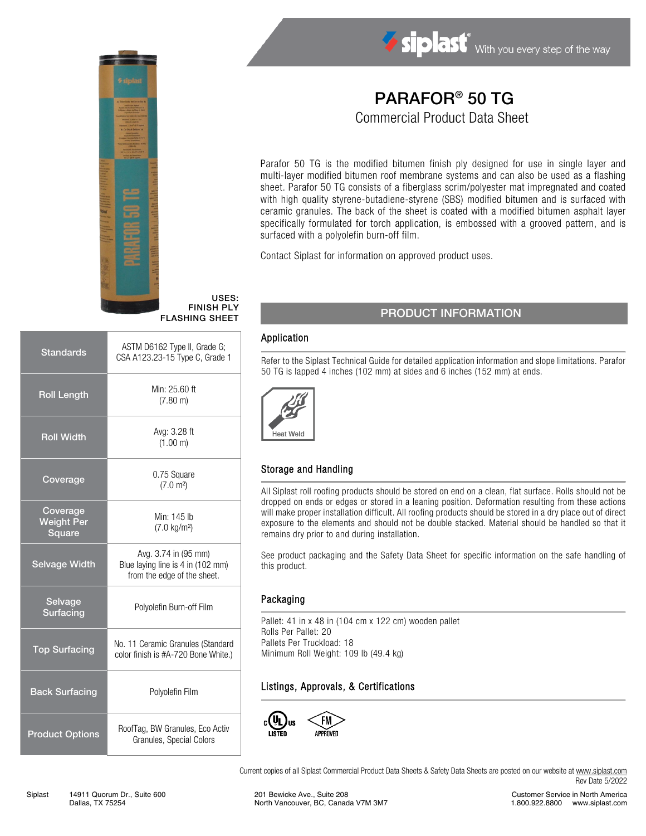

# PARAFOR® 50 TG

Commercial Product Data Sheet

Parafor 50 TG is the modified bitumen finish ply designed for use in single layer and multi-layer modified bitumen roof membrane systems and can also be used as a flashing sheet. Parafor 50 TG consists of a fiberglass scrim/polyester mat impregnated and coated with high quality styrene-butadiene-styrene (SBS) modified bitumen and is surfaced with ceramic granules. The back of the sheet is coated with a modified bitumen asphalt layer specifically formulated for torch application, is embossed with a grooved pattern, and is surfaced with a polyolefin burn-off film.

Contact Siplast for information on approved product uses.

## PRODUCT INFORMATION

#### Application

USES: FINISH PLY FLASHING SHEET

> Refer to the Siplast Technical Guide for detailed application information and slope limitations. Parafor 50 TG is lapped 4 inches (102 mm) at sides and 6 inches (152 mm) at ends.



## Storage and Handling

All Siplast roll roofing products should be stored on end on a clean, flat surface. Rolls should not be dropped on ends or edges or stored in a leaning position. Deformation resulting from these actions will make proper installation difficult. All roofing products should be stored in a dry place out of direct exposure to the elements and should not be double stacked. Material should be handled so that it remains dry prior to and during installation.

See product packaging and the Safety Data Sheet for specific information on the safe handling of this product.

#### Packaging

Pallet: 41 in x 48 in (104 cm x 122 cm) wooden pallet Rolls Per Pallet: 20 Pallets Per Truckload: 18 Minimum Roll Weight: 109 lb (49.4 kg)

## Listings, Approvals, & Certifications



Current copies of all Siplast Commercial Product Data Sheets & Safety Data Sheets are posted on our website a[t www.siplast.com](http://www.siplast.com/) Rev Date 5/2022